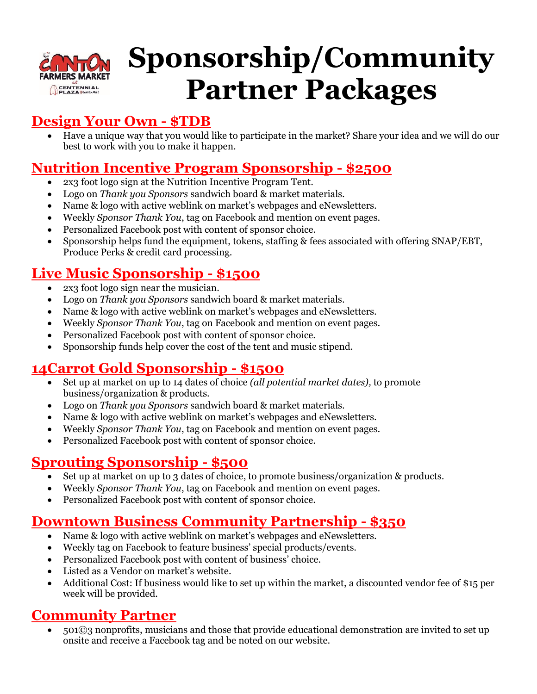

# **Sponsorship/Community Partner Packages**

# **Design Your Own - \$TDB**

• Have a unique way that you would like to participate in the market? Share your idea and we will do our best to work with you to make it happen.

# **Nutrition Incentive Program Sponsorship - \$2500**

- 2x3 foot logo sign at the Nutrition Incentive Program Tent.
- Logo on *Thank you Sponsors* sandwich board & market materials.
- Name & logo with active weblink on market's webpages and eNewsletters.
- Weekly *Sponsor Thank You*, tag on Facebook and mention on event pages.
- Personalized Facebook post with content of sponsor choice.
- Sponsorship helps fund the equipment, tokens, staffing & fees associated with offering SNAP/EBT, Produce Perks & credit card processing.

# **Live Music Sponsorship - \$1500**

- 2x3 foot logo sign near the musician.
- Logo on *Thank you Sponsors* sandwich board & market materials.
- Name & logo with active weblink on market's webpages and eNewsletters.
- Weekly *Sponsor Thank You*, tag on Facebook and mention on event pages.
- Personalized Facebook post with content of sponsor choice.
- Sponsorship funds help cover the cost of the tent and music stipend.

# **14Carrot Gold Sponsorship - \$1500**

- Set up at market on up to 14 dates of choice *(all potential market dates),* to promote business/organization & products.
- Logo on *Thank you Sponsors* sandwich board & market materials.
- Name & logo with active weblink on market's webpages and eNewsletters.
- Weekly *Sponsor Thank You*, tag on Facebook and mention on event pages.
- Personalized Facebook post with content of sponsor choice.

# **Sprouting Sponsorship - \$500**

- Set up at market on up to 3 dates of choice, to promote business/organization & products.
- Weekly *Sponsor Thank You*, tag on Facebook and mention on event pages.
- Personalized Facebook post with content of sponsor choice.

# **Downtown Business Community Partnership - \$350**

- Name & logo with active weblink on market's webpages and eNewsletters.
- Weekly tag on Facebook to feature business' special products/events.
- Personalized Facebook post with content of business' choice.
- Listed as a Vendor on market's website.
- Additional Cost: If business would like to set up within the market, a discounted vendor fee of \$15 per week will be provided.

# **Community Partner**

• 501©3 nonprofits, musicians and those that provide educational demonstration are invited to set up onsite and receive a Facebook tag and be noted on our website.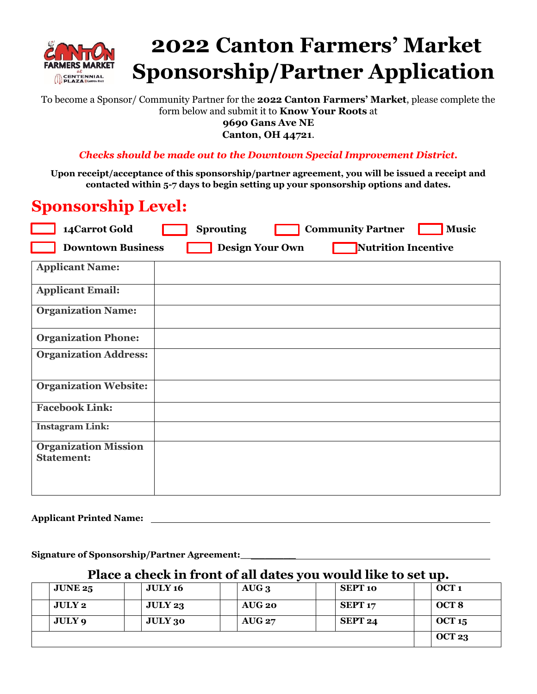

# **2022 Canton Farmers' Market Sponsorship/Partner Application**

To become a Sponsor/ Community Partner for the **2022 Canton Farmers' Market**, please complete the form below and submit it to **Know Your Roots** at

**9690 Gans Ave NE**

**Canton, OH 44721**.

*Checks should be made out to the Downtown Special Improvement District.*

**Upon receipt/acceptance of this sponsorship/partner agreement, you will be issued a receipt and contacted within 5-7 days to begin setting up your sponsorship options and dates.**

# **Sponsorship Level:**

| 14 Carrot Gold                                                            | <b>Sprouting</b> |  | <b>Community Partner</b> | <b>Music</b> |  |  |
|---------------------------------------------------------------------------|------------------|--|--------------------------|--------------|--|--|
| Nutrition Incentive<br><b>Downtown Business</b><br><b>Design Your Own</b> |                  |  |                          |              |  |  |
| <b>Applicant Name:</b>                                                    |                  |  |                          |              |  |  |
| <b>Applicant Email:</b>                                                   |                  |  |                          |              |  |  |
| <b>Organization Name:</b>                                                 |                  |  |                          |              |  |  |
| <b>Organization Phone:</b>                                                |                  |  |                          |              |  |  |
| <b>Organization Address:</b>                                              |                  |  |                          |              |  |  |
| <b>Organization Website:</b>                                              |                  |  |                          |              |  |  |
| <b>Facebook Link:</b>                                                     |                  |  |                          |              |  |  |
| <b>Instagram Link:</b>                                                    |                  |  |                          |              |  |  |
| <b>Organization Mission</b><br><b>Statement:</b>                          |                  |  |                          |              |  |  |

#### **Applicant Printed Name:**

**Signature of Sponsorship/Partner Agreement:\_\_\_\_\_\_\_\_\_** 

#### **Place a check in front of all dates you would like to set up.**

| <b>JUNE 25</b> | <b>JULY 16</b> | $AUG_3$                    | <b>SEPT 10</b>     | OCT <sub>1</sub> |
|----------------|----------------|----------------------------|--------------------|------------------|
| <b>JULY 2</b>  | JULY 23        | $\overline{\text{AUG 20}}$ | SEPT <sub>17</sub> | OCT <sub>8</sub> |
| JULY 9         | <b>JULY 30</b> | <b>AUG 27</b>              | SEPT <sub>24</sub> | OCT 15           |
|                | OCT23          |                            |                    |                  |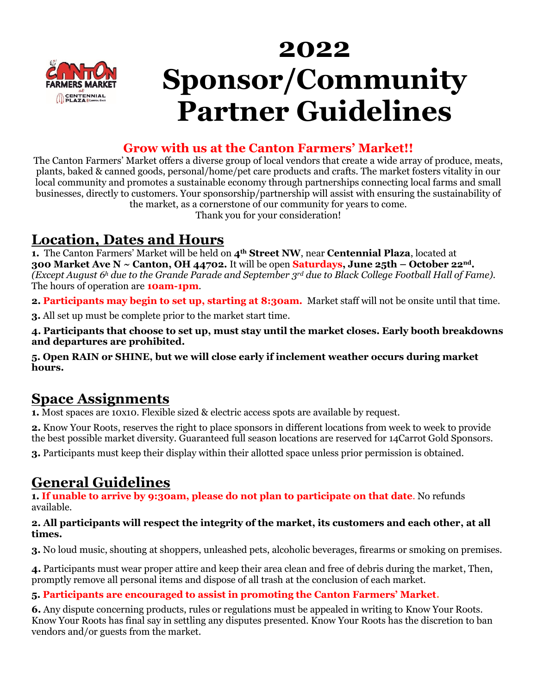

# **2022 Sponsor/Community Partner Guidelines**

#### **Grow with us at the Canton Farmers' Market!!**

The Canton Farmers' Market offers a diverse group of local vendors that create a wide array of produce, meats, plants, baked & canned goods, personal/home/pet care products and crafts. The market fosters vitality in our local community and promotes a sustainable economy through partnerships connecting local farms and small businesses, directly to customers. Your sponsorship/partnership will assist with ensuring the sustainability of the market, as a cornerstone of our community for years to come.

Thank you for your consideration!

### **Location, Dates and Hours**

**1.** The Canton Farmers' Market will be held on **4th Street NW**, near **Centennial Plaza**, located at **300 Market Ave N ~ Canton, OH 44702.** It will be open **Saturdays, June 25th – October 22nd.**  *(Except August 6<sup>h</sup> due to the Grande Parade and September 3rd due to Black College Football Hall of Fame).* The hours of operation are **10am-1pm**.

**2. Participants may begin to set up, starting at 8:30am.** Market staff will not be onsite until that time.

**3.** All set up must be complete prior to the market start time.

**4. Participants that choose to set up, must stay until the market closes. Early booth breakdowns and departures are prohibited.**

**5. Open RAIN or SHINE, but we will close early if inclement weather occurs during market hours.** 

# **Space Assignments**

**1.** Most spaces are 10x10. Flexible sized & electric access spots are available by request.

**2.** Know Your Roots, reserves the right to place sponsors in different locations from week to week to provide the best possible market diversity. Guaranteed full season locations are reserved for 14Carrot Gold Sponsors.

**3.** Participants must keep their display within their allotted space unless prior permission is obtained.

# **General Guidelines**

**1. If unable to arrive by 9:30am, please do not plan to participate on that date**. No refunds available.

#### **2. All participants will respect the integrity of the market, its customers and each other, at all times.**

**3.** No loud music, shouting at shoppers, unleashed pets, alcoholic beverages, firearms or smoking on premises.

**4.** Participants must wear proper attire and keep their area clean and free of debris during the market, Then, promptly remove all personal items and dispose of all trash at the conclusion of each market.

#### **5. Participants are encouraged to assist in promoting the Canton Farmers' Market.**

**6.** Any dispute concerning products, rules or regulations must be appealed in writing to Know Your Roots. Know Your Roots has final say in settling any disputes presented. Know Your Roots has the discretion to ban vendors and/or guests from the market.